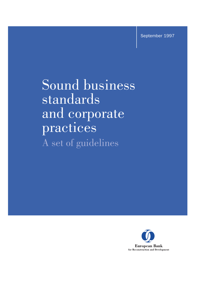September 1997

Sound business standards and corporate practices A set of guidelines

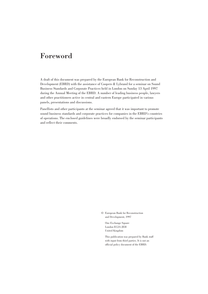# Foreword

A draft of this document was prepared by the European Bank for Reconstruction and Development (EBRD) with the assistance of Coopers & Lybrand for a seminar on Sound Business Standards and Corporate Practices held in London on Sunday 13 April 1997 during the Annual Meeting of the EBRD. A number of leading business people, lawyers and other practitioners active in central and eastern Europe participated in various panels, presentations and discussions.

Panellists and other participants at the seminar agreed that it was important to promote sound business standards and corporate practices for companies in the EBRD's countries of operations. The enclosed guidelines were broadly endorsed by the seminar participants and reflect their comments.

> © European Bank for Reconstruction and Development, 1997

One Exchange Square London EC2A 2EH United Kingdom

This publication was prepared by Bank staff with input from third parties. It is not an official policy document of the EBRD.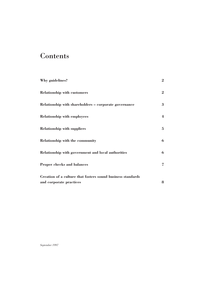# **Contents**

| Why guidelines?                                                                        | $\mathbf{2}$             |
|----------------------------------------------------------------------------------------|--------------------------|
| <b>Relationship with customers</b>                                                     | $\bf{2}$                 |
| Relationship with shareholders - corporate governance                                  | 3                        |
| <b>Relationship with employees</b>                                                     | $\bf{4}$                 |
| <b>Relationship with suppliers</b>                                                     | $\bf{5}$                 |
| <b>Relationship with the community</b>                                                 | 6                        |
| Relationship with government and local authorities                                     | 6                        |
| <b>Proper checks and balances</b>                                                      | $\overline{\mathcal{C}}$ |
| Creation of a culture that fosters sound business standards<br>and corporate practices | 8                        |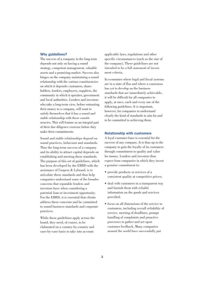### Why guidelines?

The success of a company in the long term depends not only on having a sound strategy, competent management, valuable assets and a promising market. Success also hinges on the company maintaining a sound relationship with the various constituencies on which it depends: customers, shareholders, lenders, employees, suppliers, the community in which it operates, government and local authorities. Lenders and investors who take a long-term view, before entrusting their money to a company, will want to satisfy themselves that it has a sound and stable relationship with these constituencies. This will feature as an integral part of their due diligence exercise before they make their commitments.

Sound and stable relationships depend on sound practices, behaviour and standards. Thus the long-term success of a company and its ability to attract capital depends on establishing and meeting these standards. The purpose of this set of guidelines, which has been developed by the EBRD with the assistance of Coopers & Lybrand, is to articulate these standards and thus help companies understand some of the broader concerns that reputable lenders and investors have when considering a potential loan or investment opportunity. For the EBRD, it is essential that clients address these concerns and be committed to sound business standards and corporate practices.

While these guidelines apply across the board, they need, of course, to be elaborated on a country-by-country and case-by-case basis to take into account

applicable laws, regulations and other specific circumstances (such as the size of the company). These guidelines are not intended to be a full statement of investment criteria.

In economies where legal and fiscal systems are in a state of flux and where a consensus has yet to develop on the business standards that are immediately achievable, it will be difficult for all companies to apply, at once, each and every one of the following guidelines. It is important, however, for companies to understand clearly the kind of standards to aim for and to be committed to achieving them.

### Relationship with customers

A loyal customer base is essential for the success of any company. It is thus up to the company to gain the loyalty of its customers through commitment to quality and value for money. Lenders and investors thus expect from companies in which they invest a genuine commitment to:

- provide products or services of a consistent quality at competitive prices;
- deal with customers in a transparent way and furnish them with reliable information on the goods and services provided;
- focus on all dimensions of the service to customers, including overall reliability of service, meeting of deadlines, prompt handling of complaints and proactive processes to gather and act upon customer feedback. Many companies around the world have successfully put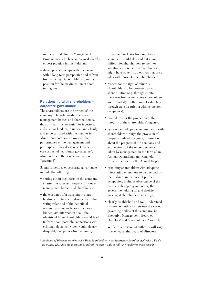in place Total Quality Management Programmes, which serve as good models of best practice in this field; and

• develop relationships with customers with a long-term perspective and refrain from abusing a favourable bargaining position for the maximisation of shortterm gains.

## Relationship with shareholders – corporate governance

The shareholders are the owners of the company. The relationship between management bodies and shareholders is thus critical. It is essential for investors, and also for lenders, to understand clearly and to be satisfied with the manner in which shareholders can oversee the performance of the management and participate in key decisions. This is the core aspect of "corporate governance", which refers to the way a company is "governed".

Sound principles of corporate governance include the following:

- setting out in legal form in the company charter the roles and responsibilities of management bodies and shareholders;
- the existence of a transparent shareholding structure with disclosure of the voting rules and of the beneficial ownership of major blocks of shares. Inadequate information about the identity of large shareholders would lead to fears about possible connections with criminal elements, which would clearly disqualify companies from obtaining

investment or loans from reputable sources. It would also make it more difficult for shareholders to monitor situations where certain shareholders might have specific objectives that are at odds with those of other shareholders;

- respect for the right of minority shareholders to be protected against share dilution (e.g. through capital increases from which some shareholders are excluded) or other loss of value (e.g. through transfer pricing with connected companies);
- procedures for the protection of the integrity of the shareholders' registry;
- systematic and open communication with shareholders through the provision of properly audited accounts, information about the progress of the company and explanations of the major decisions taken by management in the form of an Annual Operational and Financial Review included in the Annual Report;
- providing shareholders with adequate information on matters to be decided by them which, in the case of public companies, includes observance of the precise rules (proxy and other) that govern the holding of, and decision making at shareholders' meetings;
- clearly established and well-understood division of authority between the various governing bodies of the company, i.e. Executive Management, Board of Directors<sup>1</sup> and Shareholders' Assembly.

While this division of authority will vary in each case, the Board of Directors

*<sup>1</sup> By Board of Directors we refer to the Main Board and/or to the Supervisory Board (if applicable). We do not include Executive Management Boards which consist only of full-time employees of the company.*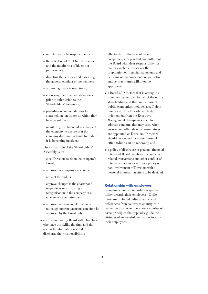should typically be responsible for:

- the selection of the Chief Executive and the monitoring of his or her performance;
- directing the strategy and assessing the general conduct of the business;
- approving major transactions;
- endorsing the financial statements prior to submission to the Shareholders' Assembly;
- providing recommendations to shareholders on issues on which they have to vote; and
- monitoring the financial resources of the company to ensure that the company does not continue to trade if it is becoming insolvent.

The typical role of the Shareholders' Assembly is to:

- elect Directors to sit on the company's Board;
- approve the company's accounts;
- appoint the auditors;
- approve changes to the charter and major decisions involving a reorganisation in the company or a change in its activities; and
- approve the payment of dividends (although interim payments can often be approved by the Board only).
- a well-functioning Board with Directors who have the skills, the time and the access to information needed to discharge their responsibilities

effectively. In the case of larger companies, independent committees of the Board with clear responsibility for matters such as overseeing the preparation of financial statements and deciding on management compensation and contract terms will often be appropriate;

- a Board of Directors that is acting in a fiduciary capacity on behalf of the entire shareholding and that, in the case of public companies, includes a sufficient number of Directors who are truly independent from the Executive Management. Companies need to address concerns that may arise when government officials or representatives are appointed as Directors. Directors should be elected for a strict term of office (which can be renewed); and
- a policy of disclosure of personal financial interest of Board members in companyrelated transactions and other conflict-ofinterest situations as well as a policy of non-involvement of Directors with a personal interest in matters to be decided.

#### Relationship with employees

Companies have an important responsibility towards their employees. While there are profound cultural and social differences from country to country with respect to this issue, there are a number of basic principles that typically guide the attitudes of successful companies towards their employees: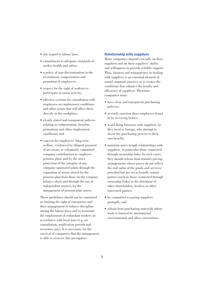- due regard to labour laws;
- commitment to adequate standards of worker health and safety;
- a policy of non-discrimination in the recruitment, compensation and promotion of employees;
- respect for the right of workers to participate in union activity;
- effective systems for consultation with employees on employment conditions and other issues that will affect them directly in the workplace;
- clearly stated and transparent policies relating to compensation, benefits, promotions and other employment conditions; and
- concern for employees' long-term welfare, evidenced by diligent payment of necessary or voluntarily committed company contributions to employee pension plans and by the strict protection of the integrity of any company-sponsored plans through the separation of assets owned by the pension plan from those on the company balance sheet and through the use of independent trustees for the management of pension plan assets.

These guidelines should not be construed as limiting the right of enterprises and their management to enforce discipline among the labour force and to terminate the employment of redundant workers in accordance with local laws (e.g. on consultation, notification periods and severance pay). It is necessary for the survival of companies that the management is able to exercise this prerogative.

## Relationship with suppliers

Many companies depend crucially on their suppliers and on their suppliers' ability and willingness to provide reliable support. Thus, fairness and transparency in dealing with suppliers is an essential element of sound corporate practice as it creates the conditions that enhance the loyalty and efficiency of suppliers. Therefore, companies must:

- have clear and transparent purchasing policies;
- severely sanction those employees found to be receiving bribes;
- avoid doing business with suppliers, be they local or foreign, who attempt to divert the purchasing process to their own benefit;
- maintain arm's-length relationships with suppliers, in particular those connected through ownership links. In such cases, they should refrain from transfer pricing arrangements where prices do not reflect the real value of the goods and services provided but are set to benefit certain parties (such as those connected through ownership links) to the detriment of other shareholders, lenders or other interested parties;
- be committed to paying suppliers promptly; and
- refrain from purchasing materials whose trade is banned by international environmental and other conventions.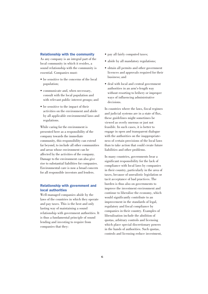### Relationship with the community

As any company is an integral part of the local community in which it resides, a sound relationship with the community is essential. Companies must:

- be sensitive to the concerns of the local population;
- communicate and, when necessary, consult with the local population and with relevant public interest groups; and
- be sensitive to the impact of their activities on the environment and abide by all applicable environmental laws and regulations.

While caring for the environment is presented here as a responsibility of the company towards the immediate community, this responsibility can extend far beyond, to include all other communities and areas whose environment can be affected by the activities of the company. Damage to the environment can also give rise to substantial liabilities for companies. Environmental care is now a broad concern for all responsible investors and lenders.

## Relationship with government and local authorities

Well-managed companies abide by the laws of the countries in which they operate and pay taxes. This is the best and only lasting way of maintaining a sound relationship with government authorities. It is thus a fundamental principle of sound lending and investing to require from companies that they:

- pay all fairly computed taxes;
- abide by all mandatory regulations;
- obtain all permits and other government licences and approvals required for their business; and
- deal with local and central government authorities in an arm's-length way without resorting to bribery or improper ways of influencing administrative decisions.

In countries where the laws, fiscal regimes and judicial systems are in a state of flux. these guidelines might sometimes be viewed as overly onerous or just not feasible. In such cases, it is better to engage in open and transparent dialogue with the authorities on the inappropriateness of certain provisions of the local laws than to take action that could create future liabilities and other problems.

In many countries, governments bear a significant responsibility for the lack of compliance with local laws by companies in their country, particularly in the area of taxes, because of unrealistic legislation or tacit acceptance of bad practices. The burden is thus also on governments to improve the investment environment and continue to liberalise the economy, which would significantly contribute to an improvement in the standards of legal, regulatory and fiscal compliance by companies in their country. Examples of liberalisation include the abolition of quotas, arbitrary controls and licensing which place special discretionary powers in the hands of authorities. Such quotas, controls and licensing reduce investment,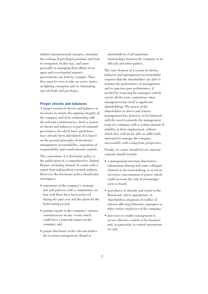inhibit entrepreneurial energies, stimulate the seeking of privileged positions and lead to corruption. In this way, and more generally in managing their affairs in an open and even-handed manner, governments can lead by example. Thus they must be seen to take an active stance in fighting corruption and in eliminating special deals and privileges.

#### Proper checks and balances

A proper system of checks and balances is necessary to ensure the ongoing integrity of the company and of its relationship with the relevant constituencies. Such a system of checks and balances is part of corporate governance, for which basic guidelines have already been articulated. It is based on the general principles of disclosure, management accountability, separation of responsibility and sound internal controls.

The cornerstone of a disclosure policy is the publication of a comprehensive Annual Report, including Annual Accounts with a report from independent external auditors. However, the disclosure policy should also encompass:

- statements of the company's strategic aim and policies, with a commentary on how well these have been achieved during the past year and the plans for the forthcoming period;
- prompt reports to the company's various constituencies on any events which could have a material impact on the company; and
- proper disclosure to the relevant bodies (be it senior management, Board or

shareholders) of all important relationships between the company or its officials and other parties.

The core element of a system of checks, balances and management accountability requires that the shareholders are able to monitor the performance of management and to sanction poor performance, if needed by removing the managers (which can be all the more contentious when management has itself a significant shareholding). The power of the shareholders to direct and remove management has, however, to be balanced with the need to provide the management team of a company with a certain amount of stability in their employment, without which they will not be able or sufficiently motivated to manage the company successfully with a long-term perspective.

Finally, at a more detailed level, internal controls should include:

- a management structure that fosters information-sharing and some collegiate element in decision-making, to avoid an excessive concentration of power, which could increase the risk of mismanagement or fraud;
- procedures to identify and report to the Board and, where appropriate, to shareholders situations of conflict of interest affecting Directors, managers or other senior employees of the company;
- processes to enable management to secure effective control of the business and, in particular, to control movements of cash;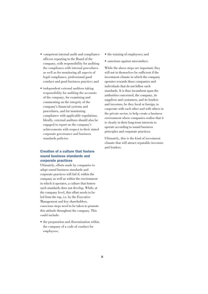- competent internal audit and compliance officers reporting to the Board of the company, with responsibility for auditing the compliance with internal procedures as well as for monitoring all aspects of legal compliance, professional good conduct and good business practice; and
- independent external auditors taking responsibility for auditing the accounts of the company, for examining and commenting on the integrity of the company's financial systems and procedures, and for monitoring compliance with applicable regulations. Ideally, external auditors should also be engaged to report on the company's achievements with respect to their stated corporate governance and business standards policies.

## Creation of a culture that fosters sound business standards and corporate practices

Ultimately, efforts made by companies to adopt sound business standards and corporate practices will fail if, within the company as well as within the environment in which it operates, a culture that fosters such standards does not develop. While, at the company level, this effort needs to be led from the top, i.e. by the Executive Management and key shareholders, conscious steps need to be taken to promote this attitude throughout the company. This could include:

• the preparation and dissemination within the company of a code of conduct for employees;

- the training of employees; and
- sanctions against misconduct.

While the above steps are important, they will not in themselves be sufficient if the investment climate in which the company operates rewards those companies and individuals that do not follow such standards. It is thus incumbent upon the authorities concerned, the company, its suppliers and customers, and its lenders and investors, be they local or foreign, to cooperate with each other and with others in the private sector, to help create a business environment where companies realise that it is clearly in their long-term interests to operate according to sound business principles and corporate practices.

Ultimately, this is the kind of investment climate that will attract reputable investors and lenders.